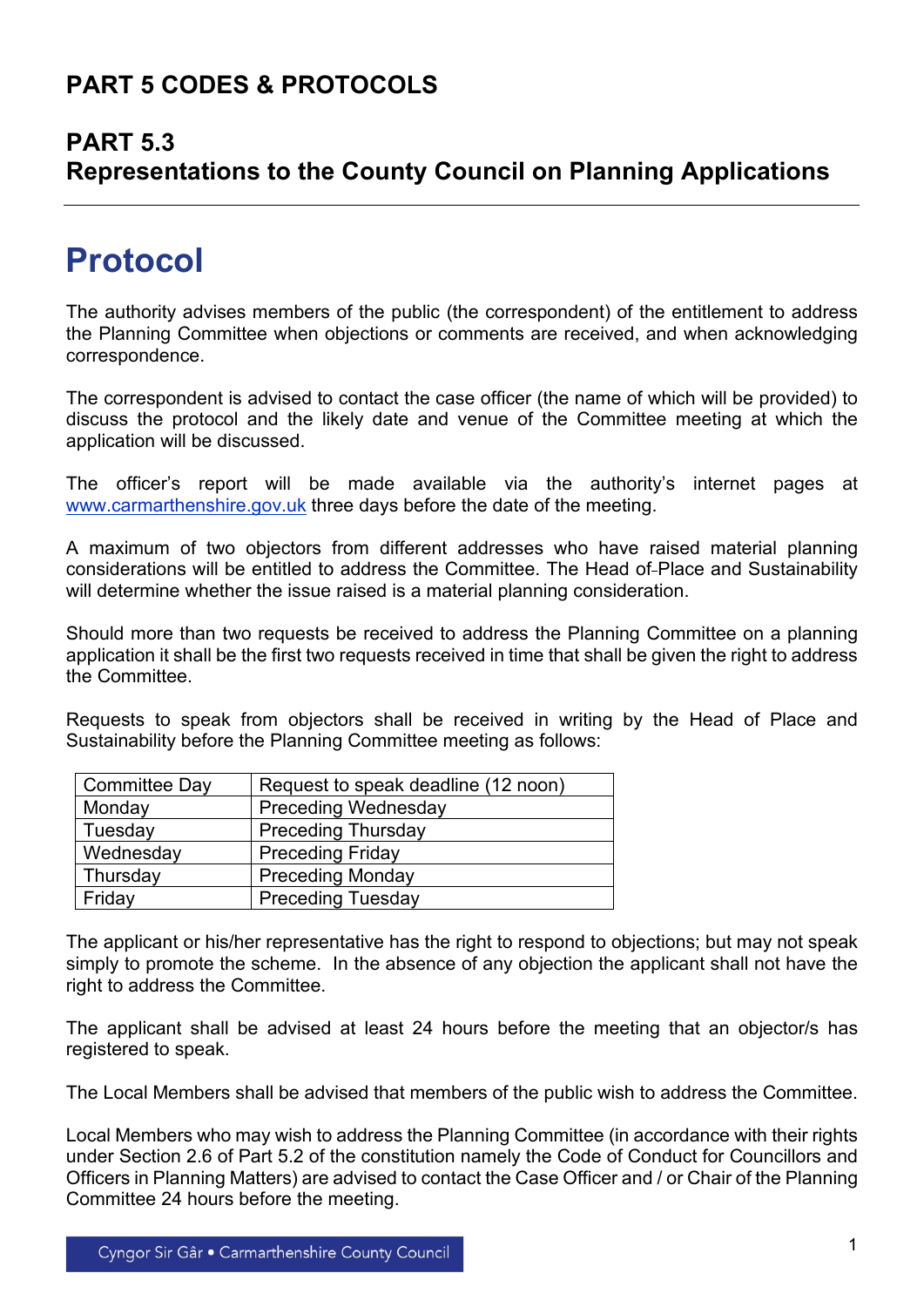### **PART 5 CODES & PROTOCOLS**

#### **PART 5.3**

## **Representations to the County Council on Planning Applications**

# **Protocol**

The authority advises members of the public (the correspondent) of the entitlement to address the Planning Committee when objections or comments are received, and when acknowledging correspondence.

The correspondent is advised to contact the case officer (the name of which will be provided) to discuss the protocol and the likely date and venue of the Committee meeting at which the application will be discussed.

The officer's report will be made available via the authority's internet pages at [www.carmarthenshire.gov.uk](http://www.carmarthenshire.gov.uk/) three days before the date of the meeting.

A maximum of two objectors from different addresses who have raised material planning considerations will be entitled to address the Committee. The Head of Place and Sustainability will determine whether the issue raised is a material planning consideration.

Should more than two requests be received to address the Planning Committee on a planning application it shall be the first two requests received in time that shall be given the right to address the Committee.

Requests to speak from objectors shall be received in writing by the Head of Place and Sustainability before the Planning Committee meeting as follows:

| <b>Committee Day</b> | Request to speak deadline (12 noon) |
|----------------------|-------------------------------------|
| Monday               | <b>Preceding Wednesday</b>          |
| Tuesday              | <b>Preceding Thursday</b>           |
| Wednesday            | <b>Preceding Friday</b>             |
| Thursday             | <b>Preceding Monday</b>             |
| Friday               | <b>Preceding Tuesday</b>            |

The applicant or his/her representative has the right to respond to objections; but may not speak simply to promote the scheme. In the absence of any objection the applicant shall not have the right to address the Committee.

The applicant shall be advised at least 24 hours before the meeting that an objector/s has registered to speak.

The Local Members shall be advised that members of the public wish to address the Committee.

Local Members who may wish to address the Planning Committee (in accordance with their rights under Section 2.6 of Part 5.2 of the constitution namely the Code of Conduct for Councillors and Officers in Planning Matters) are advised to contact the Case Officer and / or Chair of the Planning Committee 24 hours before the meeting.